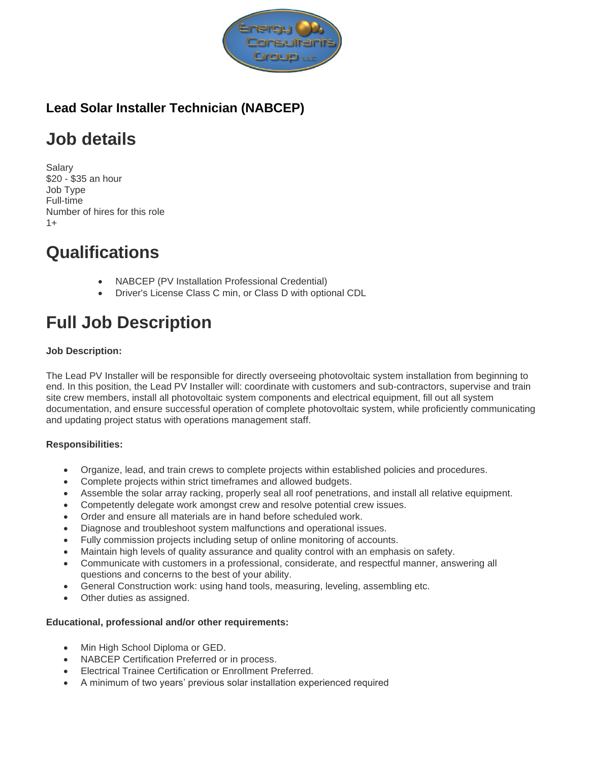

### **Lead Solar Installer Technician (NABCEP)**

# **Job details**

Salary \$20 - \$35 an hour Job Type Full-time Number of hires for this role  $1+$ 

## **Qualifications**

- NABCEP (PV Installation Professional Credential)
- Driver's License Class C min, or Class D with optional CDL

# **Full Job Description**

#### **Job Description:**

The Lead PV Installer will be responsible for directly overseeing photovoltaic system installation from beginning to end. In this position, the Lead PV Installer will: coordinate with customers and sub-contractors, supervise and train site crew members, install all photovoltaic system components and electrical equipment, fill out all system documentation, and ensure successful operation of complete photovoltaic system, while proficiently communicating and updating project status with operations management staff.

#### **Responsibilities:**

- Organize, lead, and train crews to complete projects within established policies and procedures.
- Complete projects within strict timeframes and allowed budgets.
- Assemble the solar array racking, properly seal all roof penetrations, and install all relative equipment.
- Competently delegate work amongst crew and resolve potential crew issues.
- Order and ensure all materials are in hand before scheduled work.
- Diagnose and troubleshoot system malfunctions and operational issues.
- Fully commission projects including setup of online monitoring of accounts.
- Maintain high levels of quality assurance and quality control with an emphasis on safety.
- Communicate with customers in a professional, considerate, and respectful manner, answering all questions and concerns to the best of your ability.
- General Construction work: using hand tools, measuring, leveling, assembling etc.
- Other duties as assigned.

#### **Educational, professional and/or other requirements:**

- Min High School Diploma or GED.
- NABCEP Certification Preferred or in process.
- Electrical Trainee Certification or Enrollment Preferred.
- A minimum of two years' previous solar installation experienced required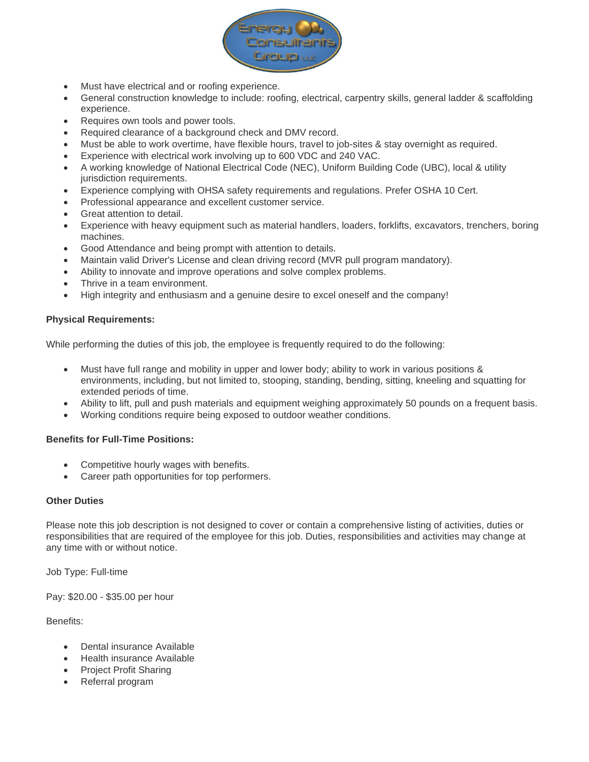

- Must have electrical and or roofing experience.
- General construction knowledge to include: roofing, electrical, carpentry skills, general ladder & scaffolding experience.
- Requires own tools and power tools.
- Required clearance of a background check and DMV record.
- Must be able to work overtime, have flexible hours, travel to job-sites & stay overnight as required.
- Experience with electrical work involving up to 600 VDC and 240 VAC.
- A working knowledge of National Electrical Code (NEC), Uniform Building Code (UBC), local & utility jurisdiction requirements.
- Experience complying with OHSA safety requirements and regulations. Prefer OSHA 10 Cert.
- Professional appearance and excellent customer service.
- Great attention to detail.
- Experience with heavy equipment such as material handlers, loaders, forklifts, excavators, trenchers, boring machines.
- Good Attendance and being prompt with attention to details.
- Maintain valid Driver's License and clean driving record (MVR pull program mandatory).
- Ability to innovate and improve operations and solve complex problems.
- Thrive in a team environment.
- High integrity and enthusiasm and a genuine desire to excel oneself and the company!

#### **Physical Requirements:**

While performing the duties of this job, the employee is frequently required to do the following:

- Must have full range and mobility in upper and lower body; ability to work in various positions & environments, including, but not limited to, stooping, standing, bending, sitting, kneeling and squatting for extended periods of time.
- Ability to lift, pull and push materials and equipment weighing approximately 50 pounds on a frequent basis.
- Working conditions require being exposed to outdoor weather conditions.

#### **Benefits for Full-Time Positions:**

- Competitive hourly wages with benefits.
- Career path opportunities for top performers.

#### **Other Duties**

Please note this job description is not designed to cover or contain a comprehensive listing of activities, duties or responsibilities that are required of the employee for this job. Duties, responsibilities and activities may change at any time with or without notice.

Job Type: Full-time

Pay: \$20.00 - \$35.00 per hour

Benefits:

- Dental insurance Available
- Health insurance Available
- Project Profit Sharing
- Referral program